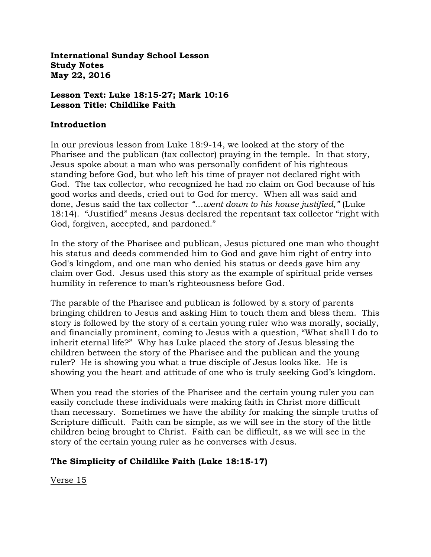**International Sunday School Lesson Study Notes May 22, 2016**

#### **Lesson Text: Luke 18:15-27; Mark 10:16 Lesson Title: Childlike Faith**

### **Introduction**

In our previous lesson from Luke 18:9-14, we looked at the story of the Pharisee and the publican (tax collector) praying in the temple. In that story, Jesus spoke about a man who was personally confident of his righteous standing before God, but who left his time of prayer not declared right with God. The tax collector, who recognized he had no claim on God because of his good works and deeds, cried out to God for mercy. When all was said and done, Jesus said the tax collector *"…went down to his house justified,"* (Luke 18:14). "Justified" means Jesus declared the repentant tax collector "right with God, forgiven, accepted, and pardoned."

In the story of the Pharisee and publican, Jesus pictured one man who thought his status and deeds commended him to God and gave him right of entry into God's kingdom, and one man who denied his status or deeds gave him any claim over God. Jesus used this story as the example of spiritual pride verses humility in reference to man's righteousness before God.

The parable of the Pharisee and publican is followed by a story of parents bringing children to Jesus and asking Him to touch them and bless them. This story is followed by the story of a certain young ruler who was morally, socially, and financially prominent, coming to Jesus with a question, "What shall I do to inherit eternal life?" Why has Luke placed the story of Jesus blessing the children between the story of the Pharisee and the publican and the young ruler? He is showing you what a true disciple of Jesus looks like. He is showing you the heart and attitude of one who is truly seeking God's kingdom.

When you read the stories of the Pharisee and the certain young ruler you can easily conclude these individuals were making faith in Christ more difficult than necessary. Sometimes we have the ability for making the simple truths of Scripture difficult. Faith can be simple, as we will see in the story of the little children being brought to Christ. Faith can be difficult, as we will see in the story of the certain young ruler as he converses with Jesus.

# **The Simplicity of Childlike Faith (Luke 18:15-17)**

Verse 15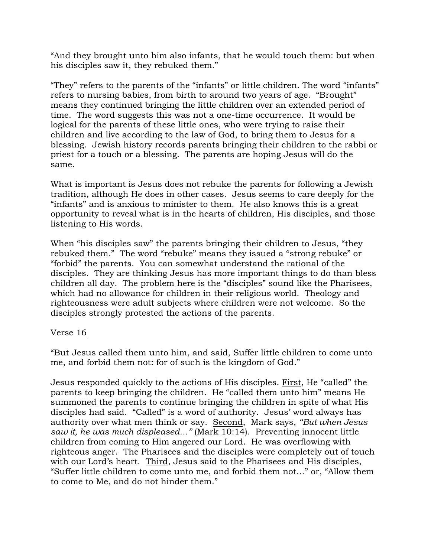"And they brought unto him also infants, that he would touch them: but when his disciples saw it, they rebuked them."

"They" refers to the parents of the "infants" or little children. The word "infants" refers to nursing babies, from birth to around two years of age. "Brought" means they continued bringing the little children over an extended period of time. The word suggests this was not a one-time occurrence. It would be logical for the parents of these little ones, who were trying to raise their children and live according to the law of God, to bring them to Jesus for a blessing. Jewish history records parents bringing their children to the rabbi or priest for a touch or a blessing. The parents are hoping Jesus will do the same.

What is important is Jesus does not rebuke the parents for following a Jewish tradition, although He does in other cases. Jesus seems to care deeply for the "infants" and is anxious to minister to them. He also knows this is a great opportunity to reveal what is in the hearts of children, His disciples, and those listening to His words.

When "his disciples saw" the parents bringing their children to Jesus, "they rebuked them." The word "rebuke" means they issued a "strong rebuke" or "forbid" the parents. You can somewhat understand the rational of the disciples. They are thinking Jesus has more important things to do than bless children all day. The problem here is the "disciples" sound like the Pharisees, which had no allowance for children in their religious world. Theology and righteousness were adult subjects where children were not welcome. So the disciples strongly protested the actions of the parents.

# Verse 16

"But Jesus called them unto him, and said, Suffer little children to come unto me, and forbid them not: for of such is the kingdom of God."

Jesus responded quickly to the actions of His disciples. First, He "called" the parents to keep bringing the children. He "called them unto him" means He summoned the parents to continue bringing the children in spite of what His disciples had said. "Called" is a word of authority. Jesus' word always has authority over what men think or say. Second, Mark says, *"But when Jesus saw it, he was much displeased…"* (Mark 10:14). Preventing innocent little children from coming to Him angered our Lord. He was overflowing with righteous anger. The Pharisees and the disciples were completely out of touch with our Lord's heart. Third, Jesus said to the Pharisees and His disciples, "Suffer little children to come unto me, and forbid them not…" or, "Allow them to come to Me, and do not hinder them."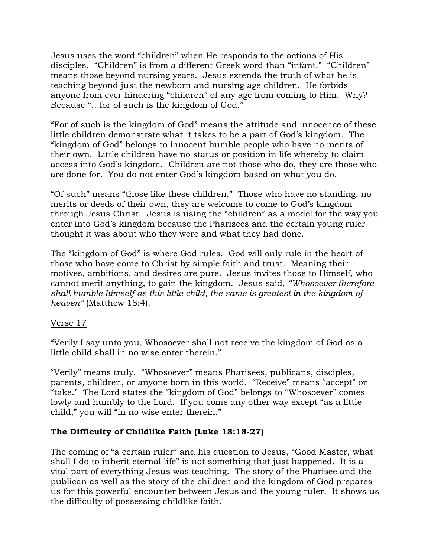Jesus uses the word "children" when He responds to the actions of His disciples. "Children" is from a different Greek word than "infant." "Children" means those beyond nursing years. Jesus extends the truth of what he is teaching beyond just the newborn and nursing age children. He forbids anyone from ever hindering "children" of any age from coming to Him. Why? Because "…for of such is the kingdom of God."

"For of such is the kingdom of God" means the attitude and innocence of these little children demonstrate what it takes to be a part of God's kingdom. The "kingdom of God" belongs to innocent humble people who have no merits of their own. Little children have no status or position in life whereby to claim access into God's kingdom. Children are not those who do, they are those who are done for. You do not enter God's kingdom based on what you do.

"Of such" means "those like these children." Those who have no standing, no merits or deeds of their own, they are welcome to come to God's kingdom through Jesus Christ. Jesus is using the "children" as a model for the way you enter into God's kingdom because the Pharisees and the certain young ruler thought it was about who they were and what they had done.

The "kingdom of God" is where God rules. God will only rule in the heart of those who have come to Christ by simple faith and trust. Meaning their motives, ambitions, and desires are pure. Jesus invites those to Himself, who cannot merit anything, to gain the kingdom. Jesus said, *"Whosoever therefore shall humble himself as this little child, the same is greatest in the kingdom of heaven"* (Matthew 18:4).

# Verse 17

"Verily I say unto you, Whosoever shall not receive the kingdom of God as a little child shall in no wise enter therein."

"Verily" means truly. "Whosoever" means Pharisees, publicans, disciples, parents, children, or anyone born in this world. "Receive" means "accept" or "take." The Lord states the "kingdom of God" belongs to "Whosoever" comes lowly and humbly to the Lord. If you come any other way except "as a little child," you will "in no wise enter therein."

# **The Difficulty of Childlike Faith (Luke 18:18-27)**

The coming of "a certain ruler" and his question to Jesus, "Good Master, what shall I do to inherit eternal life" is not something that just happened. It is a vital part of everything Jesus was teaching. The story of the Pharisee and the publican as well as the story of the children and the kingdom of God prepares us for this powerful encounter between Jesus and the young ruler. It shows us the difficulty of possessing childlike faith.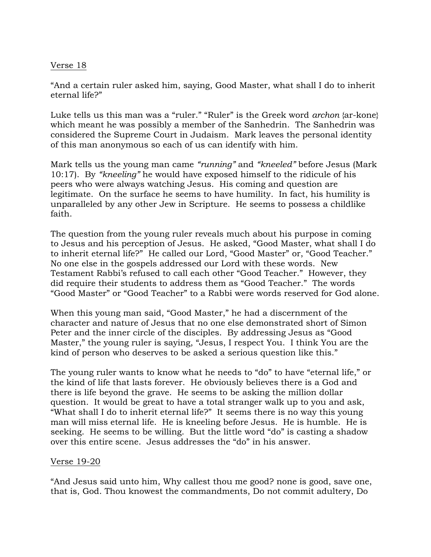### Verse 18

"And a certain ruler asked him, saying, Good Master, what shall I do to inherit eternal life?"

Luke tells us this man was a "ruler." "Ruler" is the Greek word *archon* {ar-kone} which meant he was possibly a member of the Sanhedrin. The Sanhedrin was considered the Supreme Court in Judaism. Mark leaves the personal identity of this man anonymous so each of us can identify with him.

Mark tells us the young man came *"running"* and *"kneeled"* before Jesus (Mark 10:17). By *"kneeling"* he would have exposed himself to the ridicule of his peers who were always watching Jesus. His coming and question are legitimate. On the surface he seems to have humility. In fact, his humility is unparalleled by any other Jew in Scripture. He seems to possess a childlike faith.

The question from the young ruler reveals much about his purpose in coming to Jesus and his perception of Jesus. He asked, "Good Master, what shall I do to inherit eternal life?" He called our Lord, "Good Master" or, "Good Teacher." No one else in the gospels addressed our Lord with these words. New Testament Rabbi's refused to call each other "Good Teacher." However, they did require their students to address them as "Good Teacher." The words "Good Master" or "Good Teacher" to a Rabbi were words reserved for God alone.

When this young man said, "Good Master," he had a discernment of the character and nature of Jesus that no one else demonstrated short of Simon Peter and the inner circle of the disciples. By addressing Jesus as "Good Master," the young ruler is saying, "Jesus, I respect You. I think You are the kind of person who deserves to be asked a serious question like this."

The young ruler wants to know what he needs to "do" to have "eternal life," or the kind of life that lasts forever. He obviously believes there is a God and there is life beyond the grave. He seems to be asking the million dollar question. It would be great to have a total stranger walk up to you and ask, "What shall I do to inherit eternal life?" It seems there is no way this young man will miss eternal life. He is kneeling before Jesus. He is humble. He is seeking. He seems to be willing. But the little word "do" is casting a shadow over this entire scene. Jesus addresses the "do" in his answer.

#### Verse 19-20

"And Jesus said unto him, Why callest thou me good? none is good, save one, that is, God. Thou knowest the commandments, Do not commit adultery, Do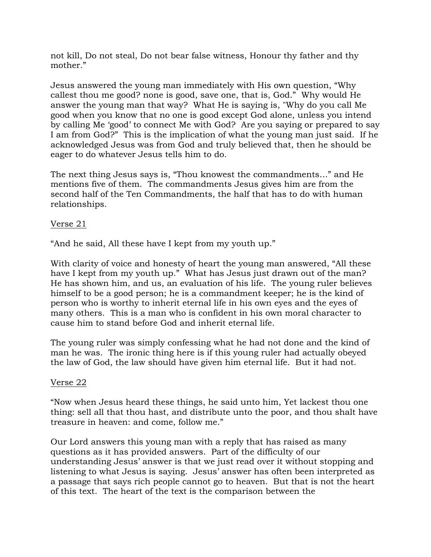not kill, Do not steal, Do not bear false witness, Honour thy father and thy mother."

Jesus answered the young man immediately with His own question, "Why callest thou me good? none is good, save one, that is, God." Why would He answer the young man that way? What He is saying is, "Why do you call Me good when you know that no one is good except God alone, unless you intend by calling Me 'good' to connect Me with God? Are you saying or prepared to say I am from God?" This is the implication of what the young man just said. If he acknowledged Jesus was from God and truly believed that, then he should be eager to do whatever Jesus tells him to do.

The next thing Jesus says is, "Thou knowest the commandments…" and He mentions five of them. The commandments Jesus gives him are from the second half of the Ten Commandments, the half that has to do with human relationships.

## Verse 21

"And he said, All these have I kept from my youth up."

With clarity of voice and honesty of heart the young man answered, "All these have I kept from my youth up." What has Jesus just drawn out of the man? He has shown him, and us, an evaluation of his life. The young ruler believes himself to be a good person; he is a commandment keeper; he is the kind of person who is worthy to inherit eternal life in his own eyes and the eyes of many others. This is a man who is confident in his own moral character to cause him to stand before God and inherit eternal life.

The young ruler was simply confessing what he had not done and the kind of man he was. The ironic thing here is if this young ruler had actually obeyed the law of God, the law should have given him eternal life. But it had not.

#### Verse 22

"Now when Jesus heard these things, he said unto him, Yet lackest thou one thing: sell all that thou hast, and distribute unto the poor, and thou shalt have treasure in heaven: and come, follow me."

Our Lord answers this young man with a reply that has raised as many questions as it has provided answers. Part of the difficulty of our understanding Jesus' answer is that we just read over it without stopping and listening to what Jesus is saying. Jesus' answer has often been interpreted as a passage that says rich people cannot go to heaven. But that is not the heart of this text. The heart of the text is the comparison between the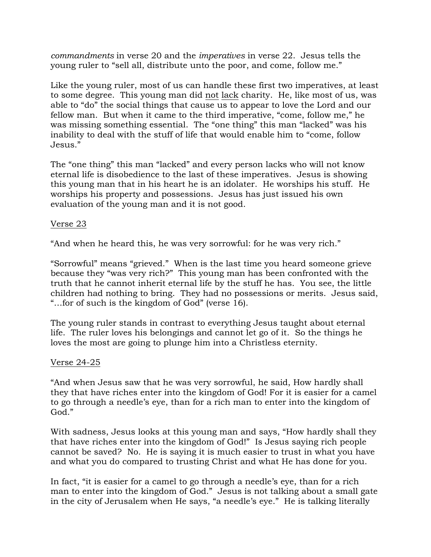*commandments* in verse 20 and the *imperatives* in verse 22. Jesus tells the young ruler to "sell all, distribute unto the poor, and come, follow me."

Like the young ruler, most of us can handle these first two imperatives, at least to some degree. This young man did not lack charity. He, like most of us, was able to "do" the social things that cause us to appear to love the Lord and our fellow man. But when it came to the third imperative, "come, follow me," he was missing something essential. The "one thing" this man "lacked" was his inability to deal with the stuff of life that would enable him to "come, follow Jesus."

The "one thing" this man "lacked" and every person lacks who will not know eternal life is disobedience to the last of these imperatives. Jesus is showing this young man that in his heart he is an idolater. He worships his stuff. He worships his property and possessions. Jesus has just issued his own evaluation of the young man and it is not good.

# Verse 23

"And when he heard this, he was very sorrowful: for he was very rich."

"Sorrowful" means "grieved." When is the last time you heard someone grieve because they "was very rich?" This young man has been confronted with the truth that he cannot inherit eternal life by the stuff he has. You see, the little children had nothing to bring. They had no possessions or merits. Jesus said, "…for of such is the kingdom of God" (verse 16).

The young ruler stands in contrast to everything Jesus taught about eternal life. The ruler loves his belongings and cannot let go of it. So the things he loves the most are going to plunge him into a Christless eternity.

#### Verse 24-25

"And when Jesus saw that he was very sorrowful, he said, How hardly shall they that have riches enter into the kingdom of God! For it is easier for a camel to go through a needle's eye, than for a rich man to enter into the kingdom of God."

With sadness, Jesus looks at this young man and says, "How hardly shall they that have riches enter into the kingdom of God!" Is Jesus saying rich people cannot be saved? No. He is saying it is much easier to trust in what you have and what you do compared to trusting Christ and what He has done for you.

In fact, "it is easier for a camel to go through a needle's eye, than for a rich man to enter into the kingdom of God." Jesus is not talking about a small gate in the city of Jerusalem when He says, "a needle's eye." He is talking literally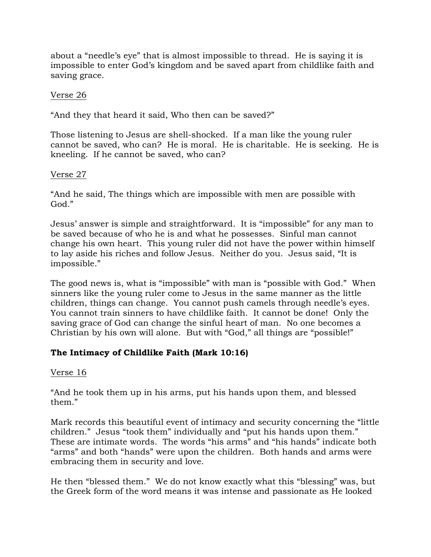about a "needle's eye" that is almost impossible to thread. He is saying it is impossible to enter God's kingdom and be saved apart from childlike faith and saving grace.

## Verse 26

"And they that heard it said, Who then can be saved?"

Those listening to Jesus are shell-shocked. If a man like the young ruler cannot be saved, who can? He is moral. He is charitable. He is seeking. He is kneeling. If he cannot be saved, who can?

## Verse 27

"And he said, The things which are impossible with men are possible with God."

Jesus' answer is simple and straightforward. It is "impossible" for any man to be saved because of who he is and what he possesses. Sinful man cannot change his own heart. This young ruler did not have the power within himself to lay aside his riches and follow Jesus. Neither do you. Jesus said, "It is impossible."

The good news is, what is "impossible" with man is "possible with God." When sinners like the young ruler come to Jesus in the same manner as the little children, things can change. You cannot push camels through needle's eyes. You cannot train sinners to have childlike faith. It cannot be done! Only the saving grace of God can change the sinful heart of man. No one becomes a Christian by his own will alone. But with "God," all things are "possible!"

# **The Intimacy of Childlike Faith (Mark 10:16)**

#### Verse 16

"And he took them up in his arms, put his hands upon them, and blessed them."

Mark records this beautiful event of intimacy and security concerning the "little children." Jesus "took them" individually and "put his hands upon them." These are intimate words. The words "his arms" and "his hands" indicate both "arms" and both "hands" were upon the children. Both hands and arms were embracing them in security and love.

He then "blessed them." We do not know exactly what this "blessing" was, but the Greek form of the word means it was intense and passionate as He looked